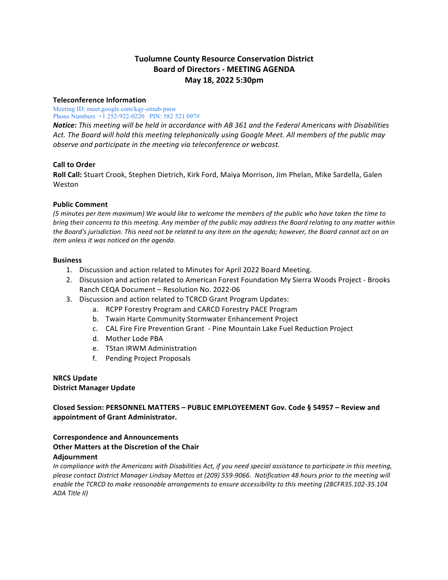# **Tuolumne County Resource Conservation District Board of Directors - MEETING AGENDA May 18, 2022 5:30pm**

## **Teleconference Information**

Meeting ID: meet.google.com/kqy-emub-pmw Phone Numbers +1 252-922-0220 PIN: 582 521 097#

*Notice:* This meeting will be held in accordance with AB 361 and the Federal Americans with Disabilities Act. The Board will hold this meeting telephonically using Google Meet. All members of the public may *observe and participate in the meeting via teleconference or webcast.* 

## **Call to Order**

**Roll Call:** Stuart Crook, Stephen Dietrich, Kirk Ford, Maiya Morrison, Jim Phelan, Mike Sardella, Galen **Weston** 

## **Public Comment**

*(5 minutes per item maximum) We would like to welcome the members of the public who have taken the time to bring* their concerns to this meeting. Any member of the public may address the Board relating to any matter within *the Board's jurisdiction. This need not be related to any item on the agenda; however, the Board cannot act on an item unless it was noticed on the agenda.* 

## **Business**

- 1. Discussion and action related to Minutes for April 2022 Board Meeting.
- 2. Discussion and action related to American Forest Foundation My Sierra Woods Project Brooks Ranch CEQA Document – Resolution No. 2022-06
- 3. Discussion and action related to TCRCD Grant Program Updates:
	- a. RCPP Forestry Program and CARCD Forestry PACE Program
	- b. Twain Harte Community Stormwater Enhancement Project
	- c. CAL Fire Fire Prevention Grant Pine Mountain Lake Fuel Reduction Project
	- d. Mother Lode PBA
	- e. TStan IRWM Administration
	- f. Pending Project Proposals

#### **NRCS Update District Manager Update**

## **Closed Session: PERSONNEL MATTERS – PUBLIC EMPLOYEEMENT Gov. Code § 54957 – Review and**  appointment of Grant Administrator.

## **Correspondence and Announcements Other Matters at the Discretion of the Chair Adjournment**

In compliance with the Americans with Disabilities Act, if you need special assistance to participate in this meeting, *please contact District Manager Lindsay Mattos at (209) 559-9066. Notification 48 hours prior to the meeting will*  enable the TCRCD to make reasonable arrangements to ensure accessibility to this meeting (28CFR35.102-35.104 *ADA Title II)*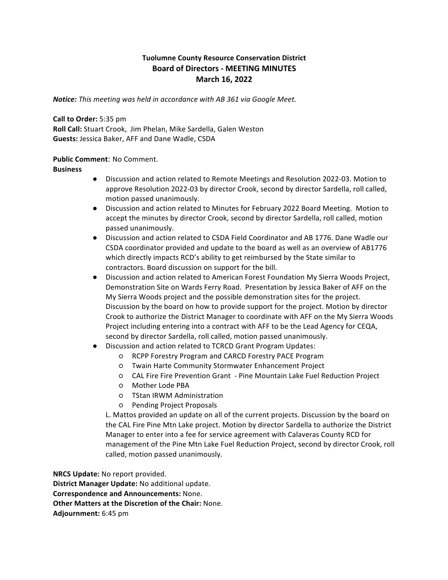## **Tuolumne County Resource Conservation District Board of Directors - MEETING MINUTES March 16, 2022**

**Notice:** This meeting was held in accordance with AB 361 via Google Meet.

**Call to Order:** 5:35 pm **Roll Call:** Stuart Crook, Jim Phelan, Mike Sardella, Galen Weston Guests: Jessica Baker, AFF and Dane Wadle, CSDA

## **Public Comment: No Comment.**

**Business**

- Discussion and action related to Remote Meetings and Resolution 2022-03. Motion to approve Resolution 2022-03 by director Crook, second by director Sardella, roll called, motion passed unanimously.
- Discussion and action related to Minutes for February 2022 Board Meeting. Motion to accept the minutes by director Crook, second by director Sardella, roll called, motion passed unanimously.
- Discussion and action related to CSDA Field Coordinator and AB 1776. Dane Wadle our CSDA coordinator provided and update to the board as well as an overview of AB1776 which directly impacts RCD's ability to get reimbursed by the State similar to contractors. Board discussion on support for the bill.
- Discussion and action related to American Forest Foundation My Sierra Woods Project, Demonstration Site on Wards Ferry Road. Presentation by Jessica Baker of AFF on the My Sierra Woods project and the possible demonstration sites for the project. Discussion by the board on how to provide support for the project. Motion by director Crook to authorize the District Manager to coordinate with AFF on the My Sierra Woods Project including entering into a contract with AFF to be the Lead Agency for CEQA, second by director Sardella, roll called, motion passed unanimously.
- Discussion and action related to TCRCD Grant Program Updates:
	- RCPP Forestry Program and CARCD Forestry PACE Program
	- Twain Harte Community Stormwater Enhancement Project
	- $\circ$  CAL Fire Fire Prevention Grant Pine Mountain Lake Fuel Reduction Project
	- Mother Lode PBA
	- TStan IRWM Administration
	- Pending Project Proposals

L. Mattos provided an update on all of the current projects. Discussion by the board on the CAL Fire Pine Mtn Lake project. Motion by director Sardella to authorize the District Manager to enter into a fee for service agreement with Calaveras County RCD for management of the Pine Mtn Lake Fuel Reduction Project, second by director Crook, roll called, motion passed unanimously.

**NRCS Update:** No report provided. **District Manager Update:** No additional update. **Correspondence and Announcements: None. Other Matters at the Discretion of the Chair: None. Adjournment:** 6:45 pm